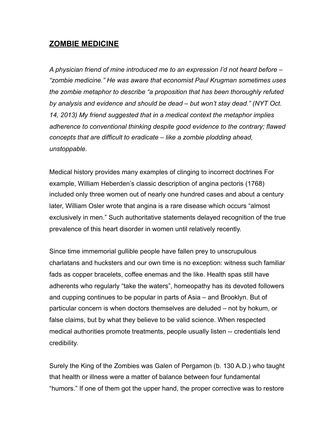## **ZOMBIE MEDICINE**

*A physician friend of mine introduced me to an expression I'd not heard before – "zombie medicine." He was aware that economist Paul Krugman sometimes uses the zombie metaphor to describe "a proposition that has been thoroughly refuted by analysis and evidence and should be dead – but won't stay dead." (NYT Oct. 14, 2013) My friend suggested that in a medical context the metaphor implies adherence to conventional thinking despite good evidence to the contrary; flawed concepts that are difficult to eradicate – like a zombie plodding ahead, unstoppable.* 

Medical history provides many examples of clinging to incorrect doctrines For example, William Heberden's classic description of angina pectoris (1768) included only three women out of nearly one hundred cases and about a century later, William Osler wrote that angina is a rare disease which occurs "almost exclusively in men." Such authoritative statements delayed recognition of the true prevalence of this heart disorder in women until relatively recently.

Since time immemorial gullible people have fallen prey to unscrupulous charlatans and hucksters and our own time is no exception: witness such familiar fads as copper bracelets, coffee enemas and the like. Health spas still have adherents who regularly "take the waters", homeopathy has its devoted followers and cupping continues to be popular in parts of Asia – and Brooklyn. But of particular concern is when doctors themselves are deluded – not by hokum, or false claims, but by what they believe to be valid science. When respected medical authorities promote treatments, people usually listen -- credentials lend credibility.

Surely the King of the Zombies was Galen of Pergamon (b. 130 A.D.) who taught that health or illness were a matter of balance between four fundamental "humors." If one of them got the upper hand, the proper corrective was to restore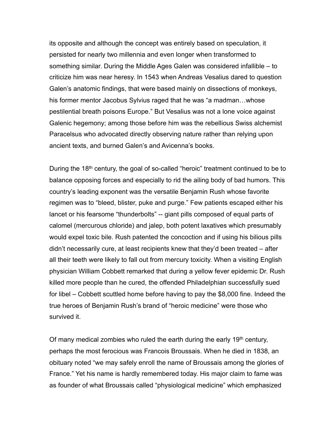its opposite and although the concept was entirely based on speculation, it persisted for nearly two millennia and even longer when transformed to something similar. During the Middle Ages Galen was considered infallible – to criticize him was near heresy. In 1543 when Andreas Vesalius dared to question Galen's anatomic findings, that were based mainly on dissections of monkeys, his former mentor Jacobus Sylvius raged that he was "a madman…whose pestilential breath poisons Europe." But Vesalius was not a lone voice against Galenic hegemony; among those before him was the rebellious Swiss alchemist Paracelsus who advocated directly observing nature rather than relying upon ancient texts, and burned Galen's and Avicenna's books.

During the 18<sup>th</sup> century, the goal of so-called "heroic" treatment continued to be to balance opposing forces and especially to rid the ailing body of bad humors. This country's leading exponent was the versatile Benjamin Rush whose favorite regimen was to "bleed, blister, puke and purge." Few patients escaped either his lancet or his fearsome "thunderbolts" -- giant pills composed of equal parts of calomel (mercurous chloride) and jalep, both potent laxatives which presumably would expel toxic bile. Rush patented the concoction and if using his bilious pills didn't necessarily cure, at least recipients knew that they'd been treated – after all their teeth were likely to fall out from mercury toxicity. When a visiting English physician William Cobbett remarked that during a yellow fever epidemic Dr. Rush killed more people than he cured, the offended Philadelphian successfully sued for libel – Cobbett scuttled home before having to pay the \$8,000 fine. Indeed the true heroes of Benjamin Rush's brand of "heroic medicine" were those who survived it.

Of many medical zombies who ruled the earth during the early  $19<sup>th</sup>$  century, perhaps the most ferocious was Francois Broussais. When he died in 1838, an obituary noted "we may safely enroll the name of Broussais among the glories of France." Yet his name is hardly remembered today. His major claim to fame was as founder of what Broussais called "physiological medicine" which emphasized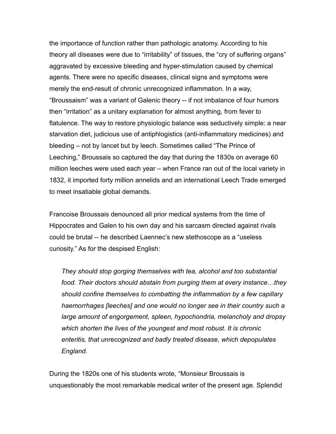the importance of function rather than pathologic anatomy. According to his theory all diseases were due to "irritability" of tissues, the "cry of suffering organs" aggravated by excessive bleeding and hyper-stimulation caused by chemical agents. There were no specific diseases, clinical signs and symptoms were merely the end-result of chronic unrecognized inflammation. In a way, "Broussaism" was a variant of Galenic theory -- if not imbalance of four humors then "irritation" as a unitary explanation for almost anything, from fever to flatulence. The way to restore physiologic balance was seductively simple: a near starvation diet, judicious use of antiphlogistics (anti-inflammatory medicines) and bleeding – not by lancet but by leech. Sometimes called "The Prince of Leeching," Broussais so captured the day that during the 1830s on average 60 million leeches were used each year – when France ran out of the local variety in 1832, it imported forty million annelids and an international Leech Trade emerged to meet insatiable global demands.

Francoise Broussais denounced all prior medical systems from the time of Hippocrates and Galen to his own day and his sarcasm directed against rivals could be brutal -- he described Laennec's new stethoscope as a "useless curiosity." As for the despised English:

*They should stop gorging themselves with tea, alcohol and too substantial food. Their doctors should abstain from purging them at every instance…they should confine themselves to combatting the inflammation by a few capillary haemorrhages [leeches] and one would no longer see in their country such a large amount of engorgement, spleen, hypochondria, melancholy and dropsy which shorten the lives of the youngest and most robust. It is chronic enteritis, that unrecognized and badly treated disease, which depopulates England.* 

During the 1820s one of his students wrote, "Monsieur Broussais is unquestionably the most remarkable medical writer of the present age. Splendid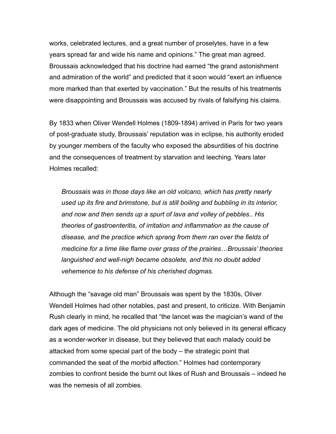works, celebrated lectures, and a great number of proselytes, have in a few years spread far and wide his name and opinions." The great man agreed. Broussais acknowledged that his doctrine had earned "the grand astonishment and admiration of the world" and predicted that it soon would "exert an influence more marked than that exerted by vaccination." But the results of his treatments were disappointing and Broussais was accused by rivals of falsifying his claims.

By 1833 when Oliver Wendell Holmes (1809-1894) arrived in Paris for two years of post-graduate study, Broussais' reputation was in eclipse, his authority eroded by younger members of the faculty who exposed the absurdities of his doctrine and the consequences of treatment by starvation and leeching. Years later Holmes recalled:

*Broussais was in those days like an old volcano, which has pretty nearly used up its fire and brimstone, but is still boiling and bubbling in its interior, and now and then sends up a spurt of lava and volley of pebbles.. His theories of gastroenteritis, of irritation and inflammation as the cause of disease, and the practice which sprang from them ran over the fields of medicine for a time like flame over grass of the prairies…Broussais' theories languished and well-nigh became obsolete, and this no doubt added vehemence to his defense of his cherished dogmas.*

Although the "savage old man" Broussais was spent by the 1830s, Oliver Wendell Holmes had other notables, past and present, to criticize. With Benjamin Rush clearly in mind, he recalled that "the lancet was the magician's wand of the dark ages of medicine. The old physicians not only believed in its general efficacy as a wonder-worker in disease, but they believed that each malady could be attacked from some special part of the body – the strategic point that commanded the seat of the morbid affection." Holmes had contemporary zombies to confront beside the burnt out likes of Rush and Broussais – indeed he was the nemesis of all zombies.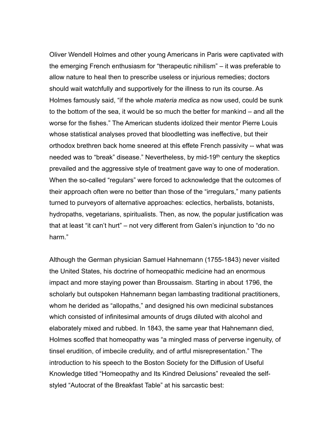Oliver Wendell Holmes and other young Americans in Paris were captivated with the emerging French enthusiasm for "therapeutic nihilism" – it was preferable to allow nature to heal then to prescribe useless or injurious remedies; doctors should wait watchfully and supportively for the illness to run its course. As Holmes famously said, "if the whole *materia medica* as now used, could be sunk to the bottom of the sea, it would be so much the better for mankind – and all the worse for the fishes." The American students idolized their mentor Pierre Louis whose statistical analyses proved that bloodletting was ineffective, but their orthodox brethren back home sneered at this effete French passivity -- what was needed was to "break" disease." Nevertheless, by mid-19<sup>th</sup> century the skeptics prevailed and the aggressive style of treatment gave way to one of moderation. When the so-called "regulars" were forced to acknowledge that the outcomes of their approach often were no better than those of the "irregulars," many patients turned to purveyors of alternative approaches: eclectics, herbalists, botanists, hydropaths, vegetarians, spiritualists. Then, as now, the popular justification was that at least "it can't hurt" – not very different from Galen's injunction to "do no harm."

Although the German physician Samuel Hahnemann (1755-1843) never visited the United States, his doctrine of homeopathic medicine had an enormous impact and more staying power than Broussaism. Starting in about 1796, the scholarly but outspoken Hahnemann began lambasting traditional practitioners, whom he derided as "allopaths," and designed his own medicinal substances which consisted of infinitesimal amounts of drugs diluted with alcohol and elaborately mixed and rubbed. In 1843, the same year that Hahnemann died, Holmes scoffed that homeopathy was "a mingled mass of perverse ingenuity, of tinsel erudition, of imbecile credulity, and of artful misrepresentation." The introduction to his speech to the Boston Society for the Diffusion of Useful Knowledge titled "Homeopathy and Its Kindred Delusions" revealed the selfstyled "Autocrat of the Breakfast Table" at his sarcastic best: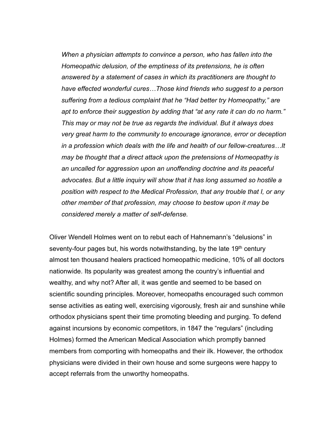*When a physician attempts to convince a person, who has fallen into the Homeopathic delusion, of the emptiness of its pretensions, he is often answered by a statement of cases in which its practitioners are thought to have effected wonderful cures…Those kind friends who suggest to a person suffering from a tedious complaint that he "Had better try Homeopathy," are apt to enforce their suggestion by adding that "at any rate it can do no harm." This may or may not be true as regards the individual. But it always does very great harm to the community to encourage ignorance, error or deception in a profession which deals with the life and health of our fellow-creatures…It may be thought that a direct attack upon the pretensions of Homeopathy is an uncalled for aggression upon an unoffending doctrine and its peaceful advocates. But a little inquiry will show that it has long assumed so hostile a position with respect to the Medical Profession, that any trouble that I, or any other member of that profession, may choose to bestow upon it may be considered merely a matter of self-defense.* 

Oliver Wendell Holmes went on to rebut each of Hahnemann's "delusions" in seventy-four pages but, his words notwithstanding, by the late 19<sup>th</sup> century almost ten thousand healers practiced homeopathic medicine, 10% of all doctors nationwide. Its popularity was greatest among the country's influential and wealthy, and why not? After all, it was gentle and seemed to be based on scientific sounding principles. Moreover, homeopaths encouraged such common sense activities as eating well, exercising vigorously, fresh air and sunshine while orthodox physicians spent their time promoting bleeding and purging. To defend against incursions by economic competitors, in 1847 the "regulars" (including Holmes) formed the American Medical Association which promptly banned members from comporting with homeopaths and their ilk. However, the orthodox physicians were divided in their own house and some surgeons were happy to accept referrals from the unworthy homeopaths.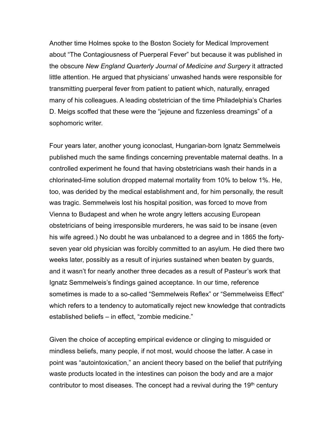Another time Holmes spoke to the Boston Society for Medical Improvement about "The Contagiousness of Puerperal Fever" but because it was published in the obscure *New England Quarterly Journal of Medicine and Surgery* it attracted little attention. He argued that physicians' unwashed hands were responsible for transmitting puerperal fever from patient to patient which, naturally, enraged many of his colleagues. A leading obstetrician of the time Philadelphia's Charles D. Meigs scoffed that these were the "jejeune and fizzenless dreamings" of a sophomoric writer.

Four years later, another young iconoclast, Hungarian-born Ignatz Semmelweis published much the same findings concerning preventable maternal deaths. In a controlled experiment he found that having obstetricians wash their hands in a chlorinated-lime solution dropped maternal mortality from 10% to below 1%. He, too, was derided by the medical establishment and, for him personally, the result was tragic. Semmelweis lost his hospital position, was forced to move from Vienna to Budapest and when he wrote angry letters accusing European obstetricians of being irresponsible murderers, he was said to be insane (even his wife agreed.) No doubt he was unbalanced to a degree and in 1865 the fortyseven year old physician was forcibly committed to an asylum. He died there two weeks later, possibly as a result of injuries sustained when beaten by guards, and it wasn't for nearly another three decades as a result of Pasteur's work that Ignatz Semmelweis's findings gained acceptance. In our time, reference sometimes is made to a so-called "Semmelweis Reflex" or "Semmelweiss Effect" which refers to a tendency to automatically reject new knowledge that contradicts established beliefs – in effect, "zombie medicine."

Given the choice of accepting empirical evidence or clinging to misguided or mindless beliefs, many people, if not most, would choose the latter. A case in point was "autointoxication," an ancient theory based on the belief that putrifying waste products located in the intestines can poison the body and are a major contributor to most diseases. The concept had a revival during the 19<sup>th</sup> century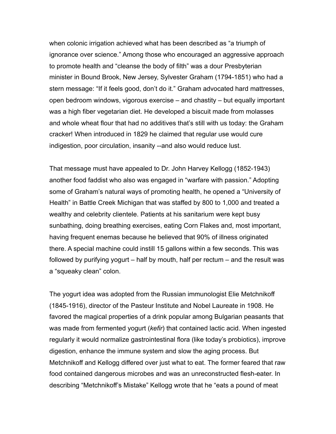when colonic irrigation achieved what has been described as "a triumph of ignorance over science." Among those who encouraged an aggressive approach to promote health and "cleanse the body of filth" was a dour Presbyterian minister in Bound Brook, New Jersey, Sylvester Graham (1794-1851) who had a stern message: "If it feels good, don't do it." Graham advocated hard mattresses, open bedroom windows, vigorous exercise – and chastity – but equally important was a high fiber vegetarian diet. He developed a biscuit made from molasses and whole wheat flour that had no additives that's still with us today: the Graham cracker! When introduced in 1829 he claimed that regular use would cure indigestion, poor circulation, insanity --and also would reduce lust.

That message must have appealed to Dr. John Harvey Kellogg (1852-1943) another food faddist who also was engaged in "warfare with passion." Adopting some of Graham's natural ways of promoting health, he opened a "University of Health" in Battle Creek Michigan that was staffed by 800 to 1,000 and treated a wealthy and celebrity clientele. Patients at his sanitarium were kept busy sunbathing, doing breathing exercises, eating Corn Flakes and, most important, having frequent enemas because he believed that 90% of illness originated there. A special machine could instill 15 gallons within a few seconds. This was followed by purifying yogurt – half by mouth, half per rectum – and the result was a "squeaky clean" colon.

The yogurt idea was adopted from the Russian immunologist Elie Metchnikoff (1845-1916), director of the Pasteur Institute and Nobel Laureate in 1908. He favored the magical properties of a drink popular among Bulgarian peasants that was made from fermented yogurt (*kefir*) that contained lactic acid. When ingested regularly it would normalize gastrointestinal flora (like today's probiotics), improve digestion, enhance the immune system and slow the aging process. But Metchnikoff and Kellogg differed over just what to eat. The former feared that raw food contained dangerous microbes and was an unreconstructed flesh-eater. In describing "Metchnikoff's Mistake" Kellogg wrote that he "eats a pound of meat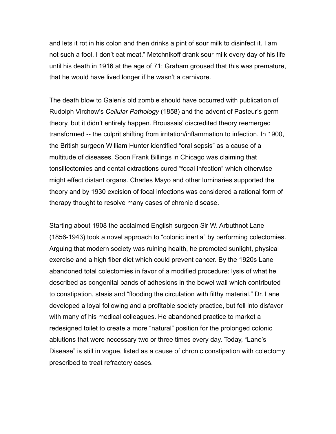and lets it rot in his colon and then drinks a pint of sour milk to disinfect it. I am not such a fool. I don't eat meat." Metchnikoff drank sour milk every day of his life until his death in 1916 at the age of 71; Graham groused that this was premature, that he would have lived longer if he wasn't a carnivore.

The death blow to Galen's old zombie should have occurred with publication of Rudolph Virchow's *Cellular Pathology* (1858) and the advent of Pasteur's germ theory, but it didn't entirely happen. Broussais' discredited theory reemerged transformed -- the culprit shifting from irritation/inflammation to infection. In 1900, the British surgeon William Hunter identified "oral sepsis" as a cause of a multitude of diseases. Soon Frank Billings in Chicago was claiming that tonsillectomies and dental extractions cured "focal infection" which otherwise might effect distant organs. Charles Mayo and other luminaries supported the theory and by 1930 excision of focal infections was considered a rational form of therapy thought to resolve many cases of chronic disease.

Starting about 1908 the acclaimed English surgeon Sir W. Arbuthnot Lane (1856-1943) took a novel approach to "colonic inertia" by performing colectomies. Arguing that modern society was ruining health, he promoted sunlight, physical exercise and a high fiber diet which could prevent cancer. By the 1920s Lane abandoned total colectomies in favor of a modified procedure: lysis of what he described as congenital bands of adhesions in the bowel wall which contributed to constipation, stasis and "flooding the circulation with filthy material." Dr. Lane developed a loyal following and a profitable society practice, but fell into disfavor with many of his medical colleagues. He abandoned practice to market a redesigned toilet to create a more "natural" position for the prolonged colonic ablutions that were necessary two or three times every day. Today, "Lane's Disease" is still in vogue, listed as a cause of chronic constipation with colectomy prescribed to treat refractory cases.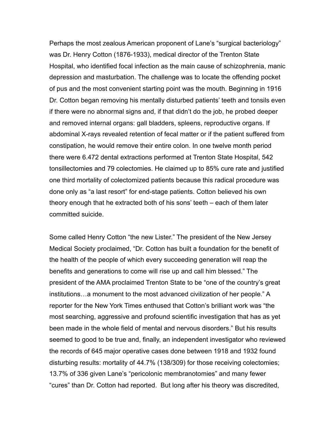Perhaps the most zealous American proponent of Lane's "surgical bacteriology" was Dr. Henry Cotton (1876-1933), medical director of the Trenton State Hospital, who identified focal infection as the main cause of schizophrenia, manic depression and masturbation. The challenge was to locate the offending pocket of pus and the most convenient starting point was the mouth. Beginning in 1916 Dr. Cotton began removing his mentally disturbed patients' teeth and tonsils even if there were no abnormal signs and, if that didn't do the job, he probed deeper and removed internal organs: gall bladders, spleens, reproductive organs. If abdominal X-rays revealed retention of fecal matter or if the patient suffered from constipation, he would remove their entire colon. In one twelve month period there were 6.472 dental extractions performed at Trenton State Hospital, 542 tonsillectomies and 79 colectomies. He claimed up to 85% cure rate and justified one third mortality of colectomized patients because this radical procedure was done only as "a last resort" for end-stage patients. Cotton believed his own theory enough that he extracted both of his sons' teeth – each of them later committed suicide.

Some called Henry Cotton "the new Lister." The president of the New Jersey Medical Society proclaimed, "Dr. Cotton has built a foundation for the benefit of the health of the people of which every succeeding generation will reap the benefits and generations to come will rise up and call him blessed." The president of the AMA proclaimed Trenton State to be "one of the country's great institutions…a monument to the most advanced civilization of her people." A reporter for the New York Times enthused that Cotton's brilliant work was "the most searching, aggressive and profound scientific investigation that has as yet been made in the whole field of mental and nervous disorders." But his results seemed to good to be true and, finally, an independent investigator who reviewed the records of 645 major operative cases done between 1918 and 1932 found disturbing results: mortality of 44.7% (138/309) for those receiving colectomies; 13.7% of 336 given Lane's "pericolonic membranotomies" and many fewer "cures" than Dr. Cotton had reported. But long after his theory was discredited,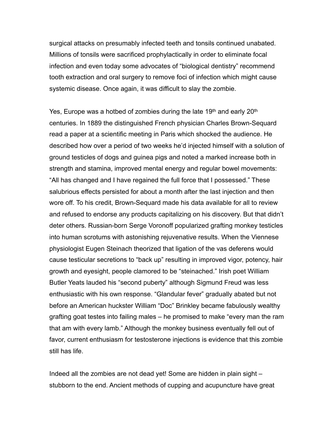surgical attacks on presumably infected teeth and tonsils continued unabated. Millions of tonsils were sacrificed prophylactically in order to eliminate focal infection and even today some advocates of "biological dentistry" recommend tooth extraction and oral surgery to remove foci of infection which might cause systemic disease. Once again, it was difficult to slay the zombie.

Yes, Europe was a hotbed of zombies during the late  $19<sup>th</sup>$  and early  $20<sup>th</sup>$ centuries. In 1889 the distinguished French physician Charles Brown-Sequard read a paper at a scientific meeting in Paris which shocked the audience. He described how over a period of two weeks he'd injected himself with a solution of ground testicles of dogs and guinea pigs and noted a marked increase both in strength and stamina, improved mental energy and regular bowel movements: "All has changed and I have regained the full force that I possessed." These salubrious effects persisted for about a month after the last injection and then wore off. To his credit, Brown-Sequard made his data available for all to review and refused to endorse any products capitalizing on his discovery. But that didn't deter others. Russian-born Serge Voronoff popularized grafting monkey testicles into human scrotums with astonishing rejuvenative results. When the Viennese physiologist Eugen Steinach theorized that ligation of the vas deferens would cause testicular secretions to "back up" resulting in improved vigor, potency, hair growth and eyesight, people clamored to be "steinached." Irish poet William Butler Yeats lauded his "second puberty" although Sigmund Freud was less enthusiastic with his own response. "Glandular fever" gradually abated but not before an American huckster William "Doc" Brinkley became fabulously wealthy grafting goat testes into failing males – he promised to make "every man the ram that am with every lamb." Although the monkey business eventually fell out of favor, current enthusiasm for testosterone injections is evidence that this zombie still has life.

Indeed all the zombies are not dead yet! Some are hidden in plain sight – stubborn to the end. Ancient methods of cupping and acupuncture have great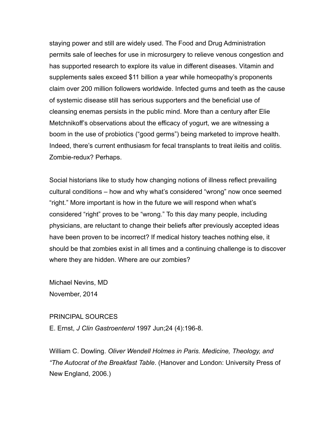staying power and still are widely used. The Food and Drug Administration permits sale of leeches for use in microsurgery to relieve venous congestion and has supported research to explore its value in different diseases. Vitamin and supplements sales exceed \$11 billion a year while homeopathy's proponents claim over 200 million followers worldwide. Infected gums and teeth as the cause of systemic disease still has serious supporters and the beneficial use of cleansing enemas persists in the public mind. More than a century after Elie Metchnikoff's observations about the efficacy of yogurt, we are witnessing a boom in the use of probiotics ("good germs") being marketed to improve health. Indeed, there's current enthusiasm for fecal transplants to treat ileitis and colitis. Zombie-redux? Perhaps.

Social historians like to study how changing notions of illness reflect prevailing cultural conditions – how and why what's considered "wrong" now once seemed "right." More important is how in the future we will respond when what's considered "right" proves to be "wrong." To this day many people, including physicians, are reluctant to change their beliefs after previously accepted ideas have been proven to be incorrect? If medical history teaches nothing else, it should be that zombies exist in all times and a continuing challenge is to discover where they are hidden. Where are our zombies?

Michael Nevins, MD November, 2014

## PRINCIPAL SOURCES

E. Ernst, *J Clin Gastroenterol* 1997 Jun;24 (4):196-8.

William C. Dowling. *Oliver Wendell Holmes in Paris. Medicine, Theology, and "The Autocrat of the Breakfast Table*. (Hanover and London: University Press of New England, 2006.)